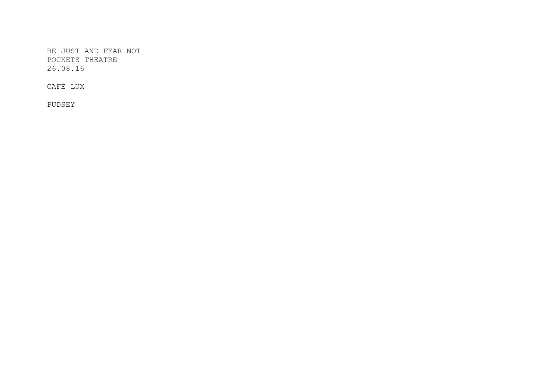BE JUST AND FEAR NOT POCKETS THEATRE 26.08.16

CAFÉ LUX

PUDSEY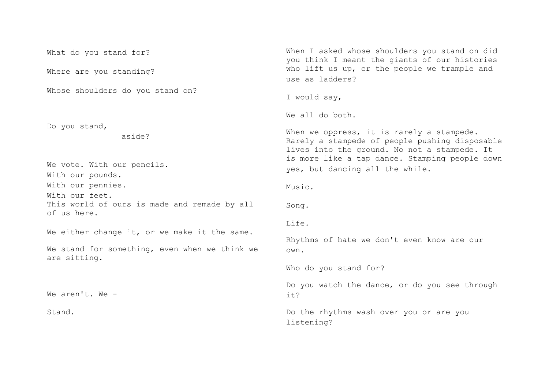What do you stand for? Where are you standing? Whose shoulders do you stand on? Do you stand, aside? We vote. With our pencils. With our pounds. With our pennies. With our feet. This world of ours is made and remade by all of us here. We either change it, or we make it the same. We stand for something, even when we think we are sitting. We aren't. We - Stand. When I asked whose shoulders you stand on did you think I meant the giants of our histories who lift us up, or the people we trample and use as ladders? I would say, We all do both. When we oppress, it is rarely a stampede. Rarely a stampede of people pushing disposable lives into the ground. No not a stampede. It is more like a tap dance. Stamping people down yes, but dancing all the while. Music. Song. Life. Rhythms of hate we don't even know are our own. Who do you stand for? Do you watch the dance, or do you see through it? Do the rhythms wash over you or are you listening?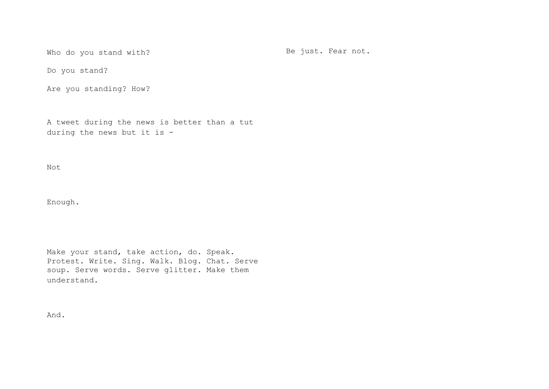Who do you stand with?

Be just. Fear not.

Do you stand?

Are you standing? How?

A tweet during the news is better than a tut during the news but it is -

Not

Enough.

Make your stand, take action, do. Speak. Protest. Write. Sing. Walk. Blog. Chat. Serve soup. Serve words. Serve glitter. Make them understand.

And.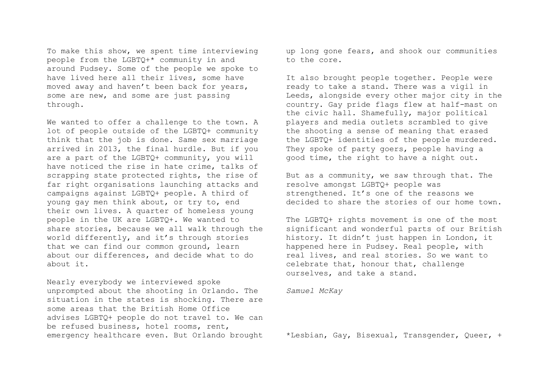To make this show, we spent time interviewing people from the LGBTQ+\* community in and around Pudsey. Some of the people we spoke to have lived here all their lives, some have moved away and haven't been back for years, some are new, and some are just passing through.

We wanted to offer a challenge to the town. A lot of people outside of the LGBTQ+ community think that the job is done. Same sex marriage arrived in 2013, the final hurdle. But if you are a part of the LGBTQ+ community, you will have noticed the rise in hate crime, talks of scrapping state protected rights, the rise of far right organisations launching attacks and campaigns against LGBTQ+ people. A third of young gay men think about, or try to, end their own lives. A quarter of homeless young people in the UK are LGBTQ+. We wanted to share stories, because we all walk through the world differently, and it's through stories that we can find our common ground, learn about our differences, and decide what to do about it.

Nearly everybody we interviewed spoke unprompted about the shooting in Orlando. The situation in the states is shocking. There are some areas that the British Home Office advises LGBTQ+ people do not travel to. We can be refused business, hotel rooms, rent, emergency healthcare even. But Orlando brought up long gone fears, and shook our communities to the core.

It also brought people together. People were ready to take a stand. There was a vigil in Leeds, alongside every other major city in the country. Gay pride flags flew at half-mast on the civic hall. Shamefully, major political players and media outlets scrambled to give the shooting a sense of meaning that erased the LGBTQ+ identities of the people murdered. They spoke of party goers, people having a good time, the right to have a night out.

But as a community, we saw through that. The resolve amongst LGBTQ+ people was strengthened. It's one of the reasons we decided to share the stories of our home town.

The LGBTQ+ rights movement is one of the most significant and wonderful parts of our British history. It didn't just happen in London, it happened here in Pudsey. Real people, with real lives, and real stories. So we want to celebrate that, honour that, challenge ourselves, and take a stand.

*Samuel McKay*

\*Lesbian, Gay, Bisexual, Transgender, Queer, +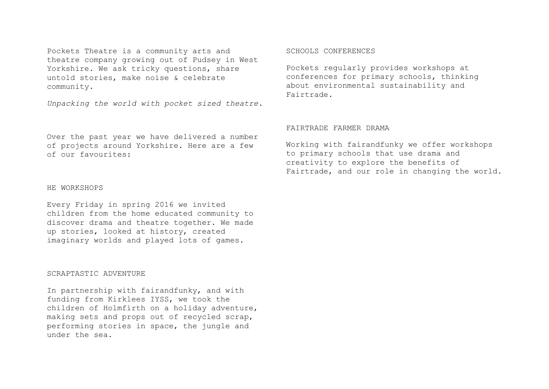Pockets Theatre is a community arts and theatre company growing out of Pudsey in West Yorkshire. We ask tricky questions, share untold stories, make noise & celebrate community.

*Unpacking the world with pocket sized theatre.*

Over the past year we have delivered a number of projects around Yorkshire. Here are a few of our favourites:

## HE WORKSHOPS

Every Friday in spring 2016 we invited children from the home educated community to discover drama and theatre together. We made up stories, looked at history, created imaginary worlds and played lots of games.

## SCRAPTASTIC ADVENTURE

In partnership with fairandfunky, and with funding from Kirklees IYSS, we took the children of Holmfirth on a holiday adventure, making sets and props out of recycled scrap, performing stories in space, the jungle and under the sea.

## SCHOOLS CONFERENCES

Pockets regularly provides workshops at conferences for primary schools, thinking about environmental sustainability and Fairtrade.

## FAIRTRADE FARMER DRAMA

Working with fairandfunky we offer workshops to primary schools that use drama and creativity to explore the benefits of Fairtrade, and our role in changing the world.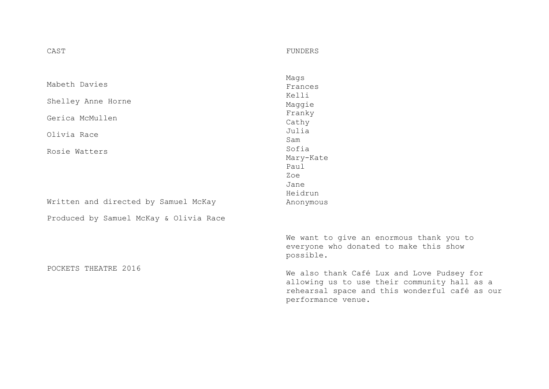| Mabeth Davies                          | Mags                                                                                                                                                               |
|----------------------------------------|--------------------------------------------------------------------------------------------------------------------------------------------------------------------|
|                                        | Frances                                                                                                                                                            |
| Shelley Anne Horne                     | Kelli                                                                                                                                                              |
|                                        | Maggie                                                                                                                                                             |
| Gerica McMullen                        | Franky                                                                                                                                                             |
|                                        | Cathy                                                                                                                                                              |
| Olivia Race                            | Julia<br>Sam                                                                                                                                                       |
| Rosie Watters                          | Sofia                                                                                                                                                              |
|                                        | Mary-Kate                                                                                                                                                          |
|                                        | Paul                                                                                                                                                               |
|                                        | Zoe                                                                                                                                                                |
|                                        | Jane                                                                                                                                                               |
|                                        | Heidrun                                                                                                                                                            |
| Written and directed by Samuel McKay   | Anonymous                                                                                                                                                          |
| Produced by Samuel McKay & Olivia Race |                                                                                                                                                                    |
|                                        | We want to give an enormous thank you to<br>everyone who donated to make this show<br>possible.                                                                    |
| POCKETS THEATRE 2016                   | We also thank Café Lux and Love Pudsey for<br>allowing us to use their community hall as a<br>rehearsal space and this wonderful café as our<br>performance venue. |

FUNDERS

CAST